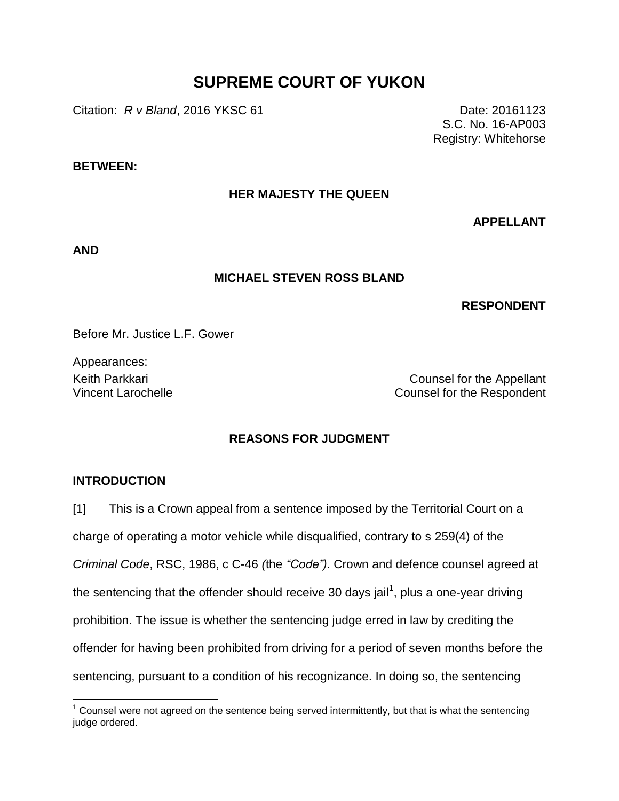# **SUPREME COURT OF YUKON**

**Citation:** *R v Bland*, 2016 YKSC 61 Date: 20161123

S.C. No. 16-AP003 Registry: Whitehorse

## **BETWEEN:**

## **HER MAJESTY THE QUEEN**

**APPELLANT**

**AND**

#### **MICHAEL STEVEN ROSS BLAND**

## **RESPONDENT**

Before Mr. Justice L.F. Gower

Appearances:

Keith Parkkari **Counsel for the Appellant** Vincent Larochelle Counsel for the Respondent

## **REASONS FOR JUDGMENT**

## **INTRODUCTION**

 $\overline{a}$ 

[1] This is a Crown appeal from a sentence imposed by the Territorial Court on a charge of operating a motor vehicle while disqualified, contrary to s 259(4) of the *Criminal Code*, RSC, 1986, c C-46 *(*the *"Code")*. Crown and defence counsel agreed at the sentencing that the offender should receive 30 days jail<sup>1</sup>, plus a one-year driving prohibition. The issue is whether the sentencing judge erred in law by crediting the offender for having been prohibited from driving for a period of seven months before the sentencing, pursuant to a condition of his recognizance. In doing so, the sentencing

 $1$  Counsel were not agreed on the sentence being served intermittently, but that is what the sentencing judge ordered.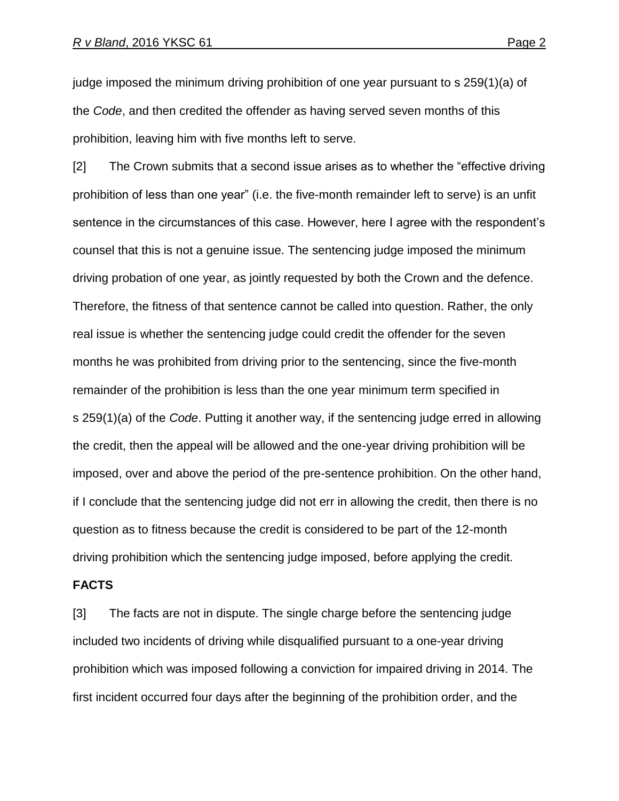judge imposed the minimum driving prohibition of one year pursuant to s 259(1)(a) of the *Code*, and then credited the offender as having served seven months of this prohibition, leaving him with five months left to serve.

[2] The Crown submits that a second issue arises as to whether the "effective driving prohibition of less than one year" (i.e. the five-month remainder left to serve) is an unfit sentence in the circumstances of this case. However, here I agree with the respondent's counsel that this is not a genuine issue. The sentencing judge imposed the minimum driving probation of one year, as jointly requested by both the Crown and the defence. Therefore, the fitness of that sentence cannot be called into question. Rather, the only real issue is whether the sentencing judge could credit the offender for the seven months he was prohibited from driving prior to the sentencing, since the five-month remainder of the prohibition is less than the one year minimum term specified in s 259(1)(a) of the *Code*. Putting it another way, if the sentencing judge erred in allowing the credit, then the appeal will be allowed and the one-year driving prohibition will be imposed, over and above the period of the pre-sentence prohibition. On the other hand, if I conclude that the sentencing judge did not err in allowing the credit, then there is no question as to fitness because the credit is considered to be part of the 12-month driving prohibition which the sentencing judge imposed, before applying the credit.

## **FACTS**

[3] The facts are not in dispute. The single charge before the sentencing judge included two incidents of driving while disqualified pursuant to a one-year driving prohibition which was imposed following a conviction for impaired driving in 2014. The first incident occurred four days after the beginning of the prohibition order, and the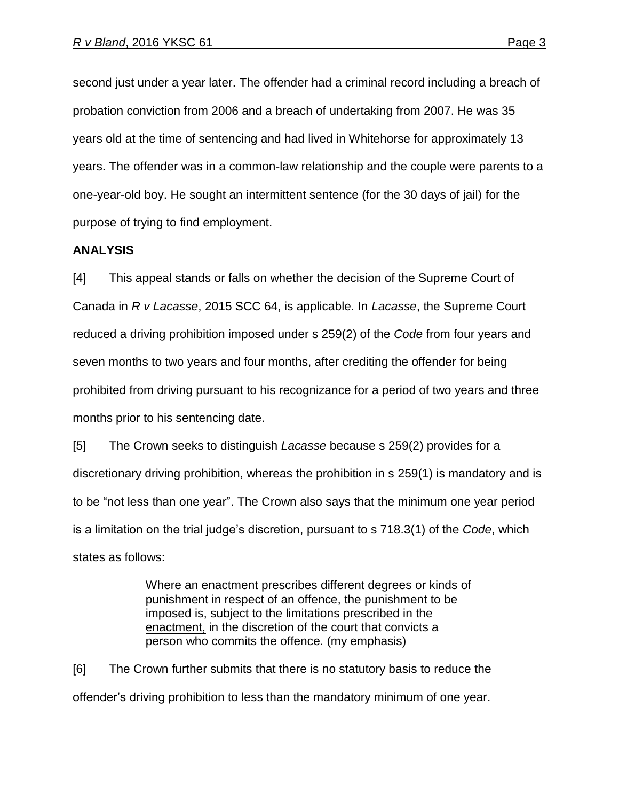second just under a year later. The offender had a criminal record including a breach of probation conviction from 2006 and a breach of undertaking from 2007. He was 35 years old at the time of sentencing and had lived in Whitehorse for approximately 13 years. The offender was in a common-law relationship and the couple were parents to a one-year-old boy. He sought an intermittent sentence (for the 30 days of jail) for the purpose of trying to find employment.

## **ANALYSIS**

[4] This appeal stands or falls on whether the decision of the Supreme Court of Canada in *R v Lacasse*, 2015 SCC 64, is applicable. In *Lacasse*, the Supreme Court reduced a driving prohibition imposed under s 259(2) of the *Code* from four years and seven months to two years and four months, after crediting the offender for being prohibited from driving pursuant to his recognizance for a period of two years and three months prior to his sentencing date.

[5] The Crown seeks to distinguish *Lacasse* because s 259(2) provides for a discretionary driving prohibition, whereas the prohibition in s 259(1) is mandatory and is to be "not less than one year". The Crown also says that the minimum one year period is a limitation on the trial judge's discretion, pursuant to s 718.3(1) of the *Code*, which states as follows:

> Where an enactment prescribes different degrees or kinds of punishment in respect of an offence, the punishment to be imposed is, subject to the limitations prescribed in the enactment, in the discretion of the court that convicts a person who commits the offence. (my emphasis)

[6] The Crown further submits that there is no statutory basis to reduce the offender's driving prohibition to less than the mandatory minimum of one year.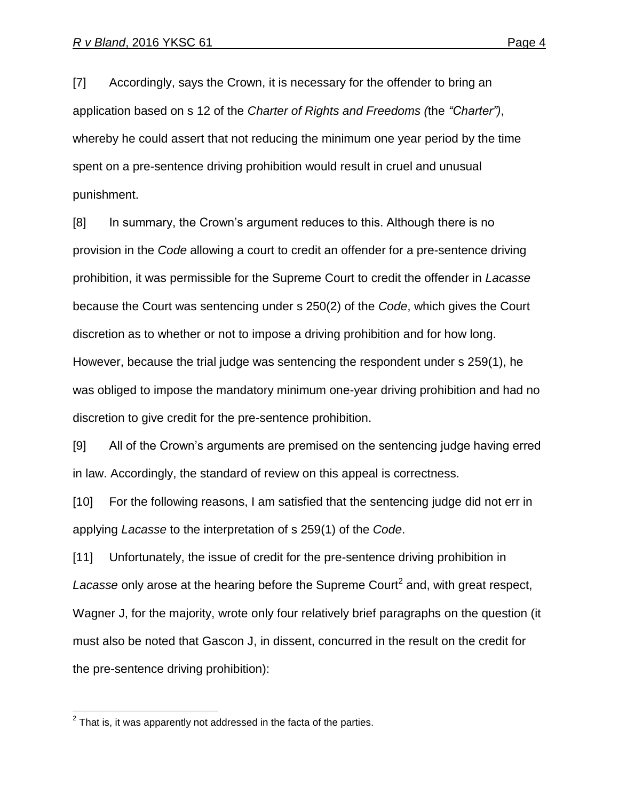[7] Accordingly, says the Crown, it is necessary for the offender to bring an application based on s 12 of the *Charter of Rights and Freedoms (*the *"Charter")*, whereby he could assert that not reducing the minimum one year period by the time spent on a pre-sentence driving prohibition would result in cruel and unusual punishment.

[8] In summary, the Crown's argument reduces to this. Although there is no provision in the *Code* allowing a court to credit an offender for a pre-sentence driving prohibition, it was permissible for the Supreme Court to credit the offender in *Lacasse* because the Court was sentencing under s 250(2) of the *Code*, which gives the Court discretion as to whether or not to impose a driving prohibition and for how long. However, because the trial judge was sentencing the respondent under s 259(1), he was obliged to impose the mandatory minimum one-year driving prohibition and had no discretion to give credit for the pre-sentence prohibition.

[9] All of the Crown's arguments are premised on the sentencing judge having erred in law. Accordingly, the standard of review on this appeal is correctness.

[10] For the following reasons, I am satisfied that the sentencing judge did not err in applying *Lacasse* to the interpretation of s 259(1) of the *Code*.

[11] Unfortunately, the issue of credit for the pre-sentence driving prohibition in Lacasse only arose at the hearing before the Supreme Court<sup>2</sup> and, with great respect, Wagner J, for the majority, wrote only four relatively brief paragraphs on the question (it must also be noted that Gascon J, in dissent, concurred in the result on the credit for the pre-sentence driving prohibition):

 2 That is, it was apparently not addressed in the facta of the parties.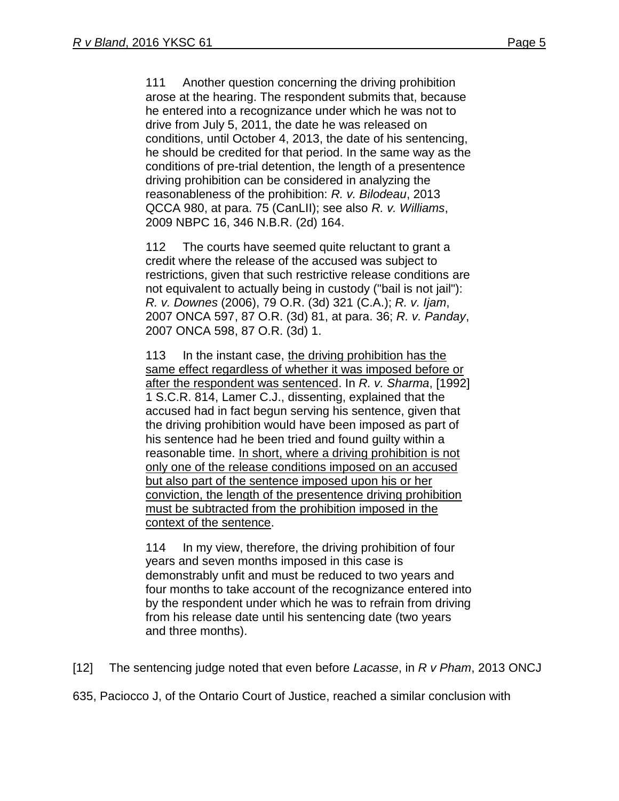111 Another question concerning the driving prohibition arose at the hearing. The respondent submits that, because he entered into a recognizance under which he was not to drive from July 5, 2011, the date he was released on conditions, until October 4, 2013, the date of his sentencing, he should be credited for that period. In the same way as the conditions of pre-trial detention, the length of a presentence driving prohibition can be considered in analyzing the reasonableness of the prohibition: *R. v. Bilodeau*, [2013](http://www.lexisnexis.com/ca/legal/search/runRemoteLink.do?A=0.32490987363267965&bct=A&service=citation&risb=21_T25072106008&langcountry=CA&linkInfo=F%23CA%23QCCA%23sel1%252013%25year%252013%25decisiondate%252013%25onum%25980%25)  [QCCA 980,](http://www.lexisnexis.com/ca/legal/search/runRemoteLink.do?A=0.32490987363267965&bct=A&service=citation&risb=21_T25072106008&langcountry=CA&linkInfo=F%23CA%23QCCA%23sel1%252013%25year%252013%25decisiondate%252013%25onum%25980%25) at para. 75 (CanLII); see also *R. v. Williams*, [2009 NBPC 16,](http://www.lexisnexis.com/ca/legal/search/runRemoteLink.do?A=0.05740901335751325&bct=A&service=citation&risb=21_T25072106008&langcountry=CA&linkInfo=F%23CA%23NBPC%23sel1%252009%25year%252009%25decisiondate%252009%25onum%2516%25) [346 N.B.R. \(2d\) 164.](http://www.lexisnexis.com/ca/legal/search/runRemoteLink.do?A=0.9639351259854948&bct=A&service=citation&risb=21_T25072106008&langcountry=CA&linkInfo=F%23CA%23NBR2%23vol%25346%25page%25164%25sel2%25346%25)

112 The courts have seemed quite reluctant to grant a credit where the release of the accused was subject to restrictions, given that such restrictive release conditions are not equivalent to actually being in custody ("bail is not jail"): *R. v. Downes* [\(2006\), 79 O.R. \(3d\) 321](http://www.lexisnexis.com/ca/legal/search/runRemoteLink.do?A=0.06391851740536025&bct=A&service=citation&risb=21_T25072106008&langcountry=CA&linkInfo=F%23CA%23OR3%23vol%2579%25sel1%252006%25page%25321%25year%252006%25sel2%2579%25decisiondate%252006%25) (C.A.); *R. v. Ijam*, [2007 ONCA 597,](http://www.lexisnexis.com/ca/legal/search/runRemoteLink.do?A=0.7593213868551401&bct=A&service=citation&risb=21_T25072106008&langcountry=CA&linkInfo=F%23CA%23ONCA%23sel1%252007%25year%252007%25decisiondate%252007%25onum%25597%25) [87 O.R. \(3d\) 81,](http://www.lexisnexis.com/ca/legal/search/runRemoteLink.do?A=0.3060575456136685&bct=A&service=citation&risb=21_T25072106008&langcountry=CA&linkInfo=F%23CA%23OR3%23vol%2587%25page%2581%25sel2%2587%25) at para. 36; *R. v. Panday*, [2007 ONCA 598,](http://www.lexisnexis.com/ca/legal/search/runRemoteLink.do?A=0.5395492133838538&bct=A&service=citation&risb=21_T25072106008&langcountry=CA&linkInfo=F%23CA%23ONCA%23sel1%252007%25year%252007%25decisiondate%252007%25onum%25598%25) [87 O.R. \(3d\) 1.](http://www.lexisnexis.com/ca/legal/search/runRemoteLink.do?A=0.8911593050276699&bct=A&service=citation&risb=21_T25072106008&langcountry=CA&linkInfo=F%23CA%23OR3%23vol%2587%25page%251%25sel2%2587%25)

113 In the instant case, the driving prohibition has the same effect regardless of whether it was imposed before or after the respondent was sentenced. In *R. v. Sharma*, [\[1992\]](http://www.lexisnexis.com/ca/legal/search/runRemoteLink.do?A=0.9269914762559024&bct=A&service=citation&risb=21_T25072106008&langcountry=CA&linkInfo=F%23CA%23SCR%23vol%251%25sel1%251992%25page%25814%25year%251992%25sel2%251%25)  [1 S.C.R. 814,](http://www.lexisnexis.com/ca/legal/search/runRemoteLink.do?A=0.9269914762559024&bct=A&service=citation&risb=21_T25072106008&langcountry=CA&linkInfo=F%23CA%23SCR%23vol%251%25sel1%251992%25page%25814%25year%251992%25sel2%251%25) Lamer C.J., dissenting, explained that the accused had in fact begun serving his sentence, given that the driving prohibition would have been imposed as part of his sentence had he been tried and found guilty within a reasonable time. In short, where a driving prohibition is not only one of the release conditions imposed on an accused but also part of the sentence imposed upon his or her conviction, the length of the presentence driving prohibition must be subtracted from the prohibition imposed in the context of the sentence.

114 In my view, therefore, the driving prohibition of four years and seven months imposed in this case is demonstrably unfit and must be reduced to two years and four months to take account of the recognizance entered into by the respondent under which he was to refrain from driving from his release date until his sentencing date (two years and three months).

[12] The sentencing judge noted that even before *Lacasse*, in *R v Pham*, 2013 ONCJ

635, Paciocco J, of the Ontario Court of Justice, reached a similar conclusion with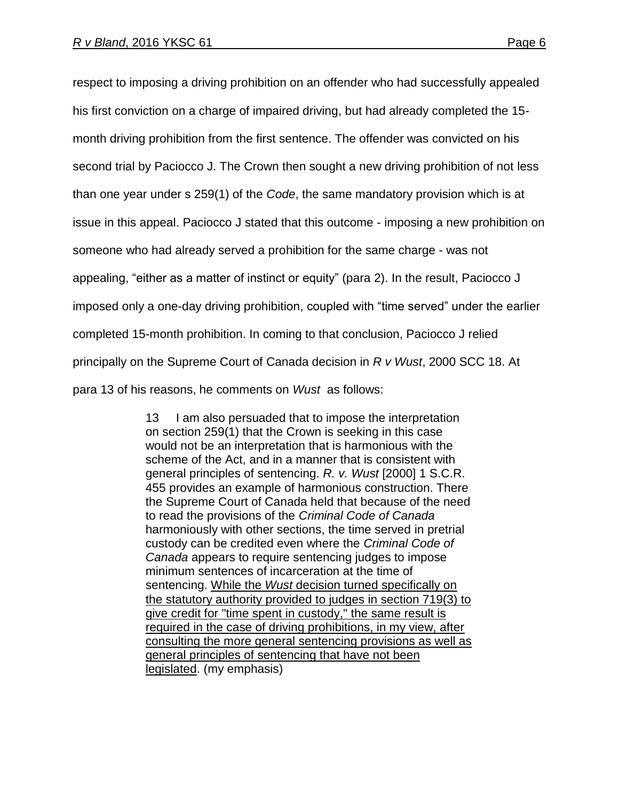respect to imposing a driving prohibition on an offender who had successfully appealed his first conviction on a charge of impaired driving, but had already completed the 15 month driving prohibition from the first sentence. The offender was convicted on his second trial by Paciocco J. The Crown then sought a new driving prohibition of not less than one year under s 259(1) of the *Code*, the same mandatory provision which is at issue in this appeal. Paciocco J stated that this outcome - imposing a new prohibition on someone who had already served a prohibition for the same charge - was not appealing, "either as a matter of instinct or equity" (para 2). In the result, Paciocco J imposed only a one-day driving prohibition, coupled with "time served" under the earlier completed 15-month prohibition. In coming to that conclusion, Paciocco J relied principally on the Supreme Court of Canada decision in *R v Wust*, 2000 SCC 18. At para 13 of his reasons, he comments on *Wust* as follows:

> 13 I am also persuaded that to impose the interpretation on section 259(1) that the Crown is seeking in this case would not be an interpretation that is harmonious with the scheme of the Act, and in a manner that is consistent with general principles of sentencing. *R. v. Wust* [\[2000\] 1 S.C.R.](http://www.lexisnexis.com/ca/legal/search/runRemoteLink.do?A=0.5648091705054898&bct=A&service=citation&risb=21_T25072018258&langcountry=CA&linkInfo=F%23CA%23SCR%23vol%251%25sel1%252000%25page%25455%25year%252000%25sel2%251%25)  [455](http://www.lexisnexis.com/ca/legal/search/runRemoteLink.do?A=0.5648091705054898&bct=A&service=citation&risb=21_T25072018258&langcountry=CA&linkInfo=F%23CA%23SCR%23vol%251%25sel1%252000%25page%25455%25year%252000%25sel2%251%25) provides an example of harmonious construction. There the Supreme Court of Canada held that because of the need to read the provisions of the *Criminal Code of Canada* harmoniously with other sections, the time served in pretrial custody can be credited even where the *Criminal Code of Canada* appears to require sentencing judges to impose minimum sentences of incarceration at the time of sentencing. While the *Wust* decision turned specifically on the statutory authority provided to judges in section 719(3) to give credit for "time spent in custody," the same result is required in the case of driving prohibitions, in my view, after consulting the more general sentencing provisions as well as general principles of sentencing that have not been legislated. (my emphasis)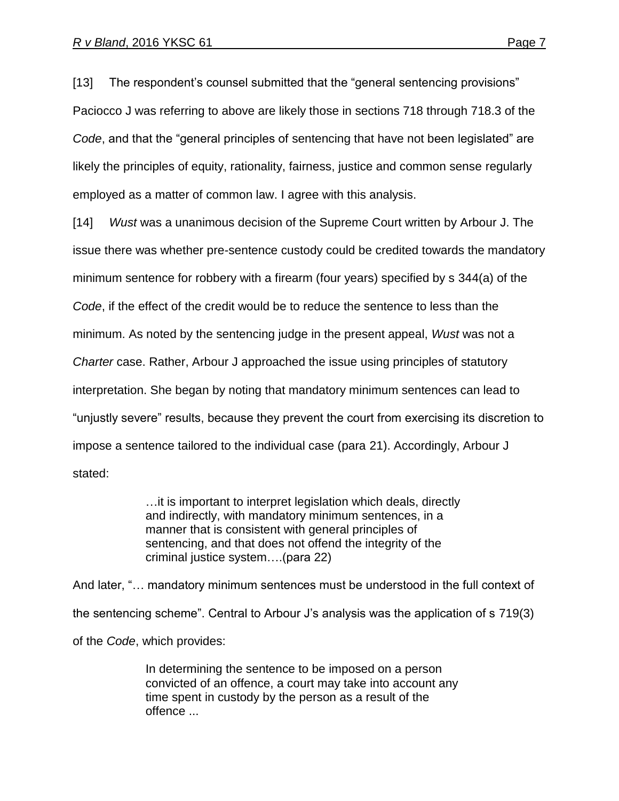[13] The respondent's counsel submitted that the "general sentencing provisions" Paciocco J was referring to above are likely those in sections 718 through 718.3 of the *Code*, and that the "general principles of sentencing that have not been legislated" are likely the principles of equity, rationality, fairness, justice and common sense regularly employed as a matter of common law. I agree with this analysis.

[14] *Wust* was a unanimous decision of the Supreme Court written by Arbour J. The issue there was whether pre-sentence custody could be credited towards the mandatory minimum sentence for robbery with a firearm (four years) specified by s 344(a) of the *Code*, if the effect of the credit would be to reduce the sentence to less than the minimum. As noted by the sentencing judge in the present appeal, *Wust* was not a *Charter* case. Rather, Arbour J approached the issue using principles of statutory interpretation. She began by noting that mandatory minimum sentences can lead to "unjustly severe" results, because they prevent the court from exercising its discretion to impose a sentence tailored to the individual case (para 21). Accordingly, Arbour J stated:

> …it is important to interpret legislation which deals, directly and indirectly, with mandatory minimum sentences, in a manner that is consistent with general principles of sentencing, and that does not offend the integrity of the criminal justice system….(para 22)

And later, "… mandatory minimum sentences must be understood in the full context of the sentencing scheme". Central to Arbour J's analysis was the application of s 719(3) of the *Code*, which provides:

> In determining the sentence to be imposed on a person convicted of an offence, a court may take into account any time spent in custody by the person as a result of the offence ...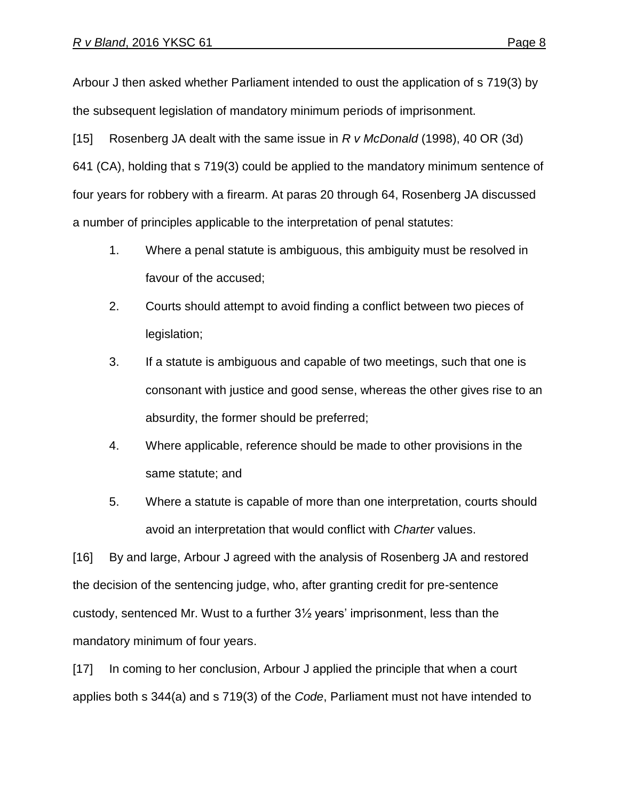Arbour J then asked whether Parliament intended to oust the application of s 719(3) by the subsequent legislation of mandatory minimum periods of imprisonment.

[15] Rosenberg JA dealt with the same issue in *R v McDonald* (1998), 40 OR (3d) 641 (CA), holding that s 719(3) could be applied to the mandatory minimum sentence of four years for robbery with a firearm. At paras 20 through 64, Rosenberg JA discussed a number of principles applicable to the interpretation of penal statutes:

- 1. Where a penal statute is ambiguous, this ambiguity must be resolved in favour of the accused;
- 2. Courts should attempt to avoid finding a conflict between two pieces of legislation;
- 3. If a statute is ambiguous and capable of two meetings, such that one is consonant with justice and good sense, whereas the other gives rise to an absurdity, the former should be preferred;
- 4. Where applicable, reference should be made to other provisions in the same statute; and
- 5. Where a statute is capable of more than one interpretation, courts should avoid an interpretation that would conflict with *Charter* values.

[16] By and large, Arbour J agreed with the analysis of Rosenberg JA and restored the decision of the sentencing judge, who, after granting credit for pre-sentence custody, sentenced Mr. Wust to a further 3½ years' imprisonment, less than the mandatory minimum of four years.

[17] In coming to her conclusion, Arbour J applied the principle that when a court applies both s 344(a) and s 719(3) of the *Code*, Parliament must not have intended to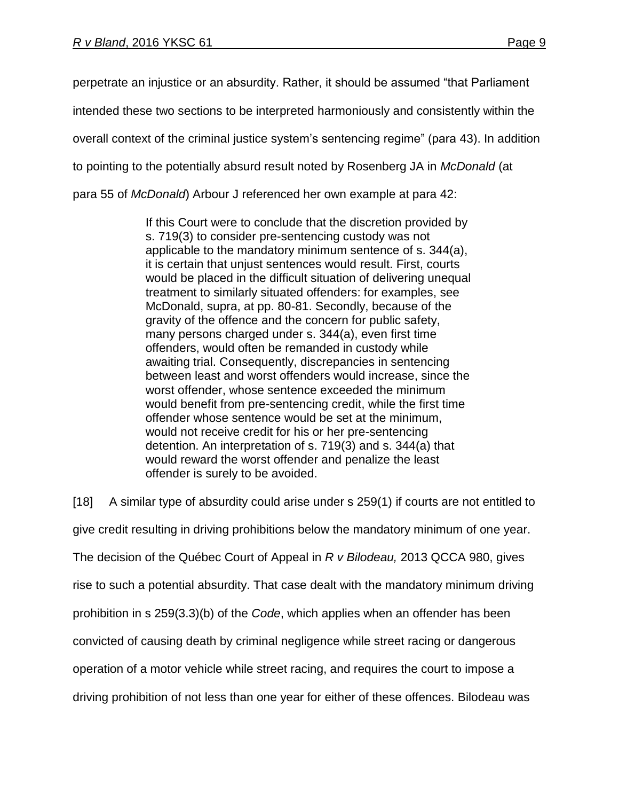perpetrate an injustice or an absurdity. Rather, it should be assumed "that Parliament intended these two sections to be interpreted harmoniously and consistently within the overall context of the criminal justice system's sentencing regime" (para 43). In addition to pointing to the potentially absurd result noted by Rosenberg JA in *McDonald* (at para 55 of *McDonald*) Arbour J referenced her own example at para 42:

> If this Court were to conclude that the discretion provided by s. 719(3) to consider pre-sentencing custody was not applicable to the mandatory minimum sentence of s. 344(a), it is certain that unjust sentences would result. First, courts would be placed in the difficult situation of delivering unequal treatment to similarly situated offenders: for examples, see McDonald, supra, at pp. 80-81. Secondly, because of the gravity of the offence and the concern for public safety, many persons charged under s. 344(a), even first time offenders, would often be remanded in custody while awaiting trial. Consequently, discrepancies in sentencing between least and worst offenders would increase, since the worst offender, whose sentence exceeded the minimum would benefit from pre-sentencing credit, while the first time offender whose sentence would be set at the minimum, would not receive credit for his or her pre-sentencing detention. An interpretation of s. 719(3) and s. 344(a) that would reward the worst offender and penalize the least offender is surely to be avoided.

[18] A similar type of absurdity could arise under s 259(1) if courts are not entitled to give credit resulting in driving prohibitions below the mandatory minimum of one year. The decision of the Québec Court of Appeal in *R v Bilodeau,* 2013 QCCA 980, gives rise to such a potential absurdity. That case dealt with the mandatory minimum driving prohibition in s 259(3.3)(b) of the *Code*, which applies when an offender has been convicted of causing death by criminal negligence while street racing or dangerous operation of a motor vehicle while street racing, and requires the court to impose a driving prohibition of not less than one year for either of these offences. Bilodeau was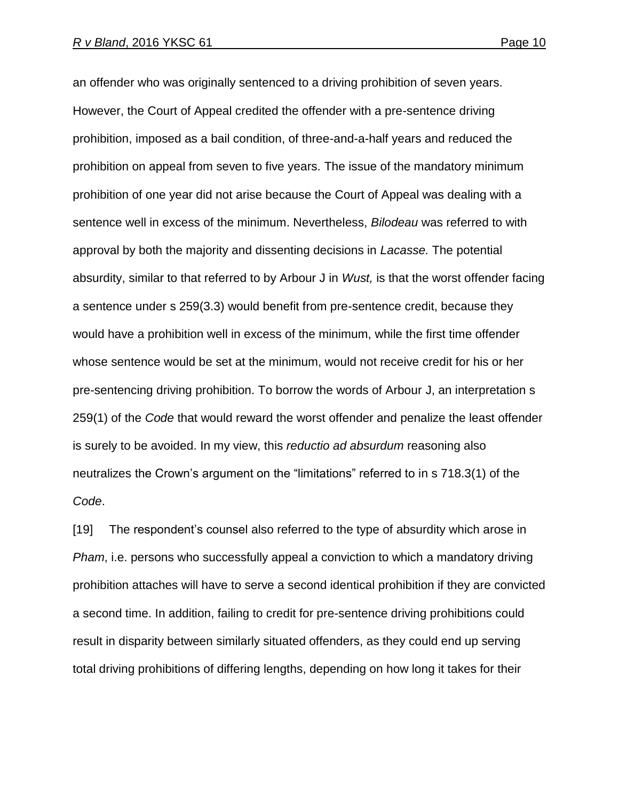an offender who was originally sentenced to a driving prohibition of seven years. However, the Court of Appeal credited the offender with a pre-sentence driving prohibition, imposed as a bail condition, of three-and-a-half years and reduced the prohibition on appeal from seven to five years. The issue of the mandatory minimum prohibition of one year did not arise because the Court of Appeal was dealing with a sentence well in excess of the minimum. Nevertheless, *Bilodeau* was referred to with approval by both the majority and dissenting decisions in *Lacasse.* The potential absurdity, similar to that referred to by Arbour J in *Wust,* is that the worst offender facing a sentence under s 259(3.3) would benefit from pre-sentence credit, because they would have a prohibition well in excess of the minimum, while the first time offender whose sentence would be set at the minimum, would not receive credit for his or her pre-sentencing driving prohibition. To borrow the words of Arbour J, an interpretation s 259(1) of the *Code* that would reward the worst offender and penalize the least offender is surely to be avoided. In my view, this *reductio ad absurdum* reasoning also neutralizes the Crown's argument on the "limitations" referred to in s 718.3(1) of the *Code*.

[19] The respondent's counsel also referred to the type of absurdity which arose in *Pham*, i.e. persons who successfully appeal a conviction to which a mandatory driving prohibition attaches will have to serve a second identical prohibition if they are convicted a second time. In addition, failing to credit for pre-sentence driving prohibitions could result in disparity between similarly situated offenders, as they could end up serving total driving prohibitions of differing lengths, depending on how long it takes for their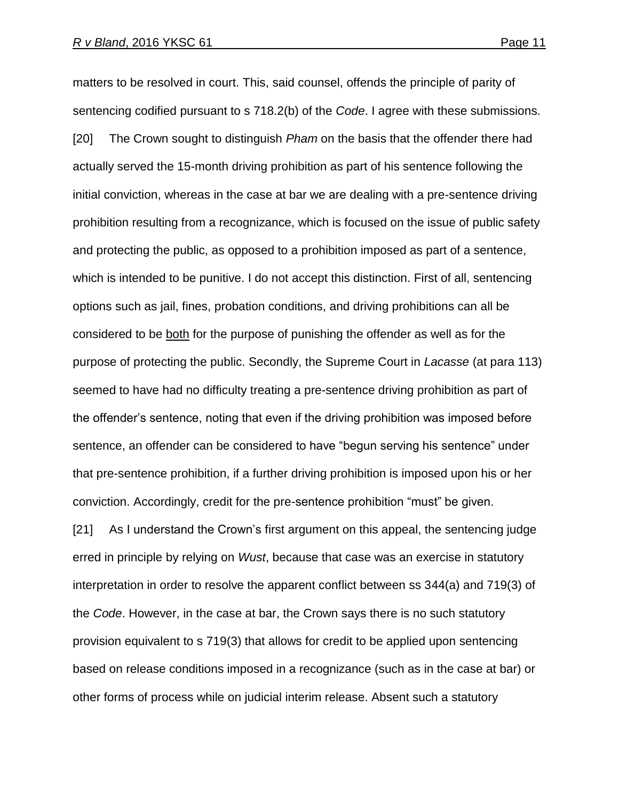matters to be resolved in court. This, said counsel, offends the principle of parity of sentencing codified pursuant to s 718.2(b) of the *Code*. I agree with these submissions. [20] The Crown sought to distinguish *Pham* on the basis that the offender there had actually served the 15-month driving prohibition as part of his sentence following the initial conviction, whereas in the case at bar we are dealing with a pre-sentence driving prohibition resulting from a recognizance, which is focused on the issue of public safety and protecting the public, as opposed to a prohibition imposed as part of a sentence, which is intended to be punitive. I do not accept this distinction. First of all, sentencing options such as jail, fines, probation conditions, and driving prohibitions can all be considered to be both for the purpose of punishing the offender as well as for the purpose of protecting the public. Secondly, the Supreme Court in *Lacasse* (at para 113) seemed to have had no difficulty treating a pre-sentence driving prohibition as part of the offender's sentence, noting that even if the driving prohibition was imposed before sentence, an offender can be considered to have "begun serving his sentence" under that pre-sentence prohibition, if a further driving prohibition is imposed upon his or her conviction. Accordingly, credit for the pre-sentence prohibition "must" be given.

[21] As I understand the Crown's first argument on this appeal, the sentencing judge erred in principle by relying on *Wust*, because that case was an exercise in statutory interpretation in order to resolve the apparent conflict between ss 344(a) and 719(3) of the *Code*. However, in the case at bar, the Crown says there is no such statutory provision equivalent to s 719(3) that allows for credit to be applied upon sentencing based on release conditions imposed in a recognizance (such as in the case at bar) or other forms of process while on judicial interim release. Absent such a statutory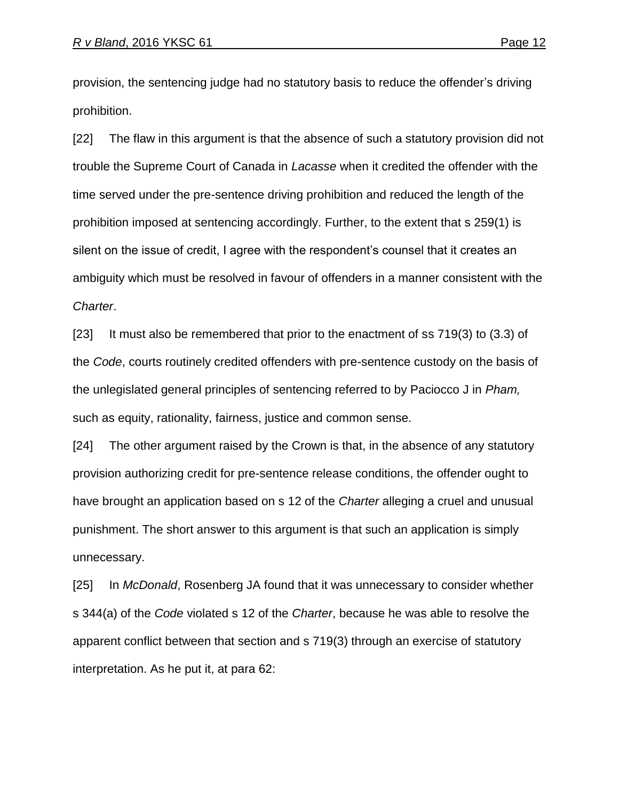provision, the sentencing judge had no statutory basis to reduce the offender's driving prohibition.

[22] The flaw in this argument is that the absence of such a statutory provision did not trouble the Supreme Court of Canada in *Lacasse* when it credited the offender with the time served under the pre-sentence driving prohibition and reduced the length of the prohibition imposed at sentencing accordingly. Further, to the extent that s 259(1) is silent on the issue of credit, I agree with the respondent's counsel that it creates an ambiguity which must be resolved in favour of offenders in a manner consistent with the *Charter*.

[23] It must also be remembered that prior to the enactment of ss 719(3) to (3.3) of the *Code*, courts routinely credited offenders with pre-sentence custody on the basis of the unlegislated general principles of sentencing referred to by Paciocco J in *Pham,* such as equity, rationality, fairness, justice and common sense.

[24] The other argument raised by the Crown is that, in the absence of any statutory provision authorizing credit for pre-sentence release conditions, the offender ought to have brought an application based on s 12 of the *Charter* alleging a cruel and unusual punishment. The short answer to this argument is that such an application is simply unnecessary.

[25] In *McDonald*, Rosenberg JA found that it was unnecessary to consider whether s 344(a) of the *Code* violated s 12 of the *Charter*, because he was able to resolve the apparent conflict between that section and s 719(3) through an exercise of statutory interpretation. As he put it, at para 62: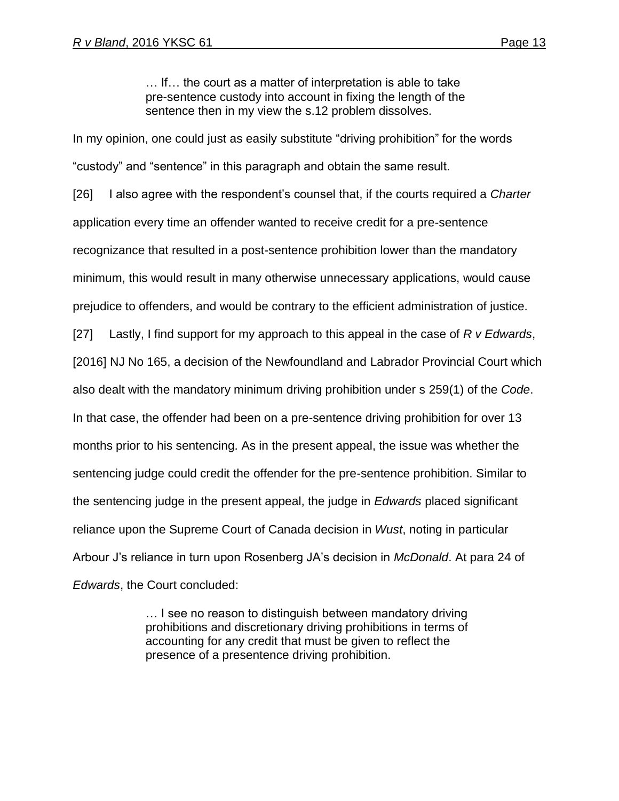… If… the court as a matter of interpretation is able to take pre-sentence custody into account in fixing the length of the sentence then in my view the s.12 problem dissolves.

In my opinion, one could just as easily substitute "driving prohibition" for the words "custody" and "sentence" in this paragraph and obtain the same result.

[26] I also agree with the respondent's counsel that, if the courts required a *Charter* application every time an offender wanted to receive credit for a pre-sentence recognizance that resulted in a post-sentence prohibition lower than the mandatory minimum, this would result in many otherwise unnecessary applications, would cause prejudice to offenders, and would be contrary to the efficient administration of justice. [27] Lastly, I find support for my approach to this appeal in the case of *R v Edwards*, [2016] NJ No 165, a decision of the Newfoundland and Labrador Provincial Court which also dealt with the mandatory minimum driving prohibition under s 259(1) of the *Code*. In that case, the offender had been on a pre-sentence driving prohibition for over 13 months prior to his sentencing. As in the present appeal, the issue was whether the sentencing judge could credit the offender for the pre-sentence prohibition. Similar to the sentencing judge in the present appeal, the judge in *Edwards* placed significant reliance upon the Supreme Court of Canada decision in *Wust*, noting in particular Arbour J's reliance in turn upon Rosenberg JA's decision in *McDonald*. At para 24 of *Edwards*, the Court concluded:

> … I see no reason to distinguish between mandatory driving prohibitions and discretionary driving prohibitions in terms of accounting for any credit that must be given to reflect the presence of a presentence driving prohibition.